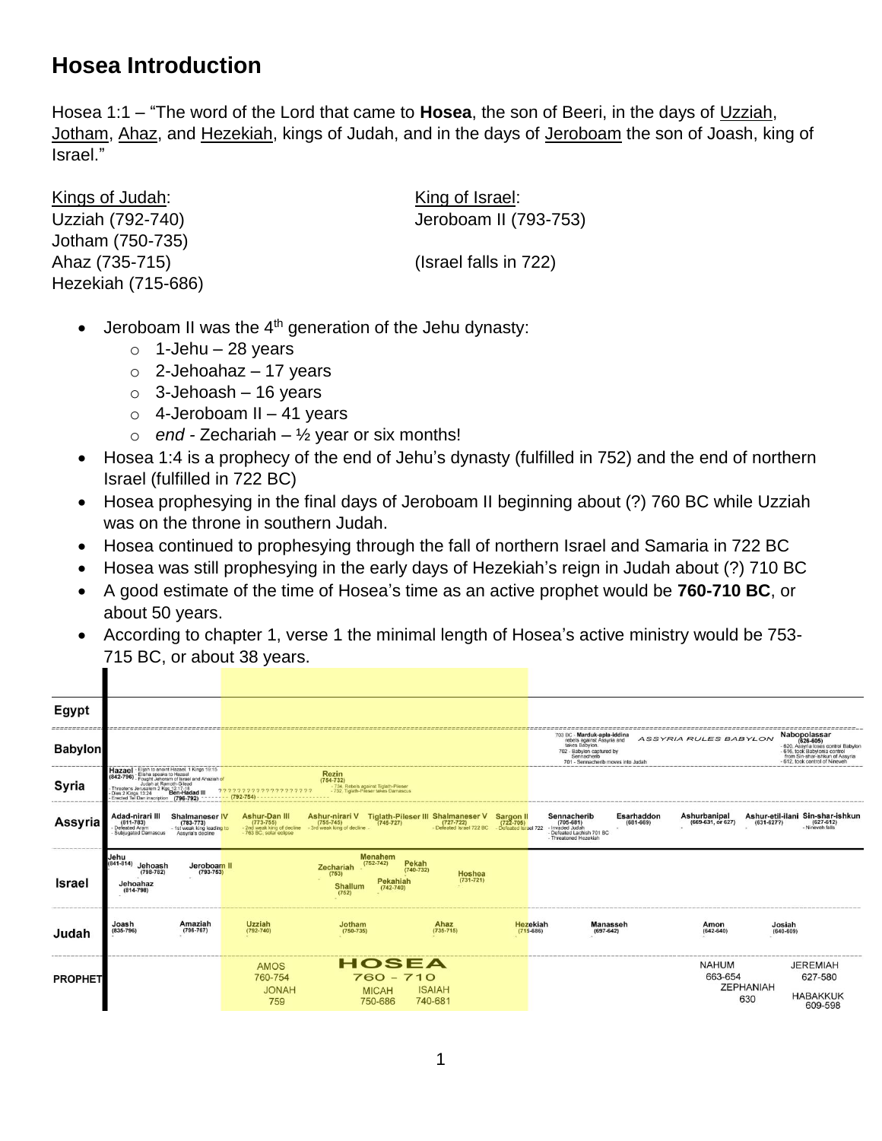## **Hosea Introduction**

Hosea 1:1 – "The word of the Lord that came to **Hosea**, the son of Beeri, in the days of Uzziah, Jotham, Ahaz, and Hezekiah, kings of Judah, and in the days of Jeroboam the son of Joash, king of Israel."

Kings of Judah: King of Israel: Jotham (750-735) Ahaz (735-715) (Israel falls in 722) Hezekiah (715-686)

п

Uzziah (792-740) Jeroboam II (793-753)

- $\bullet$  Jeroboam II was the 4<sup>th</sup> generation of the Jehu dynasty:
	- $\circ$  1-Jehu 28 years
	- $\circ$  2-Jehoahaz 17 years
	- $\circ$  3-Jehoash 16 years
	- $\circ$  4-Jeroboam II 41 years
	- $\circ$  *end* Zechariah 1/<sub>2</sub> year or six months!
- Hosea 1:4 is a prophecy of the end of Jehu's dynasty (fulfilled in 752) and the end of northern Israel (fulfilled in 722 BC)
- Hosea prophesying in the final days of Jeroboam II beginning about (?) 760 BC while Uzziah was on the throne in southern Judah.
- Hosea continued to prophesying through the fall of northern Israel and Samaria in 722 BC
- Hosea was still prophesying in the early days of Hezekiah's reign in Judah about (?) 710 BC
- A good estimate of the time of Hosea's time as an active prophet would be **760-710 BC**, or about 50 years.
- According to chapter 1, verse 1 the minimal length of Hosea's active ministry would be 753- 715 BC, or about 38 years.

| Egypt          |                                                                                                                                                                                |                                                                                           |                                                                                                |                                                                                                                 |                                                                                    |                                                   |                                                                                                                                                              |                             |                                   |                         |                                                                                                                                                                      |
|----------------|--------------------------------------------------------------------------------------------------------------------------------------------------------------------------------|-------------------------------------------------------------------------------------------|------------------------------------------------------------------------------------------------|-----------------------------------------------------------------------------------------------------------------|------------------------------------------------------------------------------------|---------------------------------------------------|--------------------------------------------------------------------------------------------------------------------------------------------------------------|-----------------------------|-----------------------------------|-------------------------|----------------------------------------------------------------------------------------------------------------------------------------------------------------------|
| <b>Babylon</b> |                                                                                                                                                                                |                                                                                           |                                                                                                |                                                                                                                 |                                                                                    |                                                   | 703 BC - Marduk-apla-iddina<br>rebels against Assyria and<br>takes Babylon.<br>702 - Babylon captured by<br>Sennacherib<br>701 - Sennacherib moves into Juda |                             | <b>ASSYRIA RULES BABYLON</b>      |                         | Nabopolassar<br>(626-605)<br>- 620. Assyria loses control Babylon<br>- 616. took Babylonia control<br>from Sin-shar-ishkun of Assyria<br>612, took control of Nineve |
| Syria          | Hazael<br>Elisha speaks to Hazael<br>(842-796) - Elleria spence of Israel and Ahaziah of<br>Judah at Ramoth-Gilead<br>Threatens Jerusalem 2 Kgs 12:17-18<br>Dies 2 Kings 13:24 | - Elijah to anoint Hazael, 1 Kings 19:15<br>Ben-Hadad III                                 | 2222222222222                                                                                  | <b>Rezin</b><br>$(754 - 732)$<br>- 734, Rebels against Tiglath-Pileser<br>- 732. Tiglath-Pileser takes Damascus |                                                                                    |                                                   |                                                                                                                                                              |                             |                                   |                         |                                                                                                                                                                      |
| Assyria        | Adad-nirari III<br>$(811 - 783)$<br>Defeated Aram<br>Subjugated Damascus                                                                                                       | <b>Shalmaneser IV</b><br>$(783 - 773)$<br>- 1st weak king leading to<br>Assyria's decline | <b>Ashur-Dan III</b><br>$(773 - 755)$<br>- 2nd weak king of decline<br>- 763 BC, solar eclipse | Ashur-nirari V<br>$(755 - 745)$<br>- 3rd weak king of decline                                                   | Tiglath-Pileser III Shalmaneser V<br>(745-727) (727-722)<br>Defeated Israel 722 BC | Sargon II<br>$(722 - 705)$<br>Defeated Israel 722 | Sennacherib<br>(705-681)<br>Invaded Judah<br>- Defeated Lachish 701 BC<br>- Threatened Hezekiah                                                              | Esarhaddon<br>$(681 - 669)$ | Ashurbanipal<br>(669-631, or 627) | $(631 - 6277)$          | Ashur-etil-ilani Sin-shar-ishkun<br>$(627 - 612)$<br>Nineveh falls                                                                                                   |
| Israel         | Jehu<br>$841 - 814$<br>Jehoash<br>$(798 - 782)$<br>Jehoahaz<br>$(814 - 798)$                                                                                                   | Jeroboam II<br>$(793 - 753)$                                                              |                                                                                                | Menahem<br>$(752 - 742)$<br>Zechariah<br>(753)<br><b>Shallum</b><br>(752)                                       | Pekah<br>$(740 - 732)$<br>Hoshea<br>$(731 - 721)$<br>Pekahiah<br>$(742 - 740)$     |                                                   |                                                                                                                                                              |                             |                                   |                         |                                                                                                                                                                      |
| Judah          | Joash<br>$(835 - 796)$                                                                                                                                                         | Amaziah<br>$(796 - 767)$                                                                  | Uzziah<br>$(792 - 740)$                                                                        | Jotham<br>$(750 - 735)$                                                                                         | Ahaz<br>$(735 - 715)$                                                              | Hezekiah<br>$(715 - 686)$                         | $(697 - 642)$                                                                                                                                                | <b>Manasseh</b>             | Amon<br>$(642 - 640)$             | Josiah<br>$(640 - 609)$ |                                                                                                                                                                      |
| <b>PROPHET</b> |                                                                                                                                                                                |                                                                                           | <b>AMOS</b><br>760-754<br><b>HANOL</b><br>759                                                  | <b>MICAH</b><br>750-686                                                                                         | HOSEA<br>$760 - 710$<br><b>ISAIAH</b><br>740-681                                   |                                                   |                                                                                                                                                              |                             | <b>NAHUM</b><br>663-654           | <b>ZEPHANIAH</b><br>630 | <b>JEREMIAH</b><br>627-580<br><b>HABAKKUK</b><br>609-598                                                                                                             |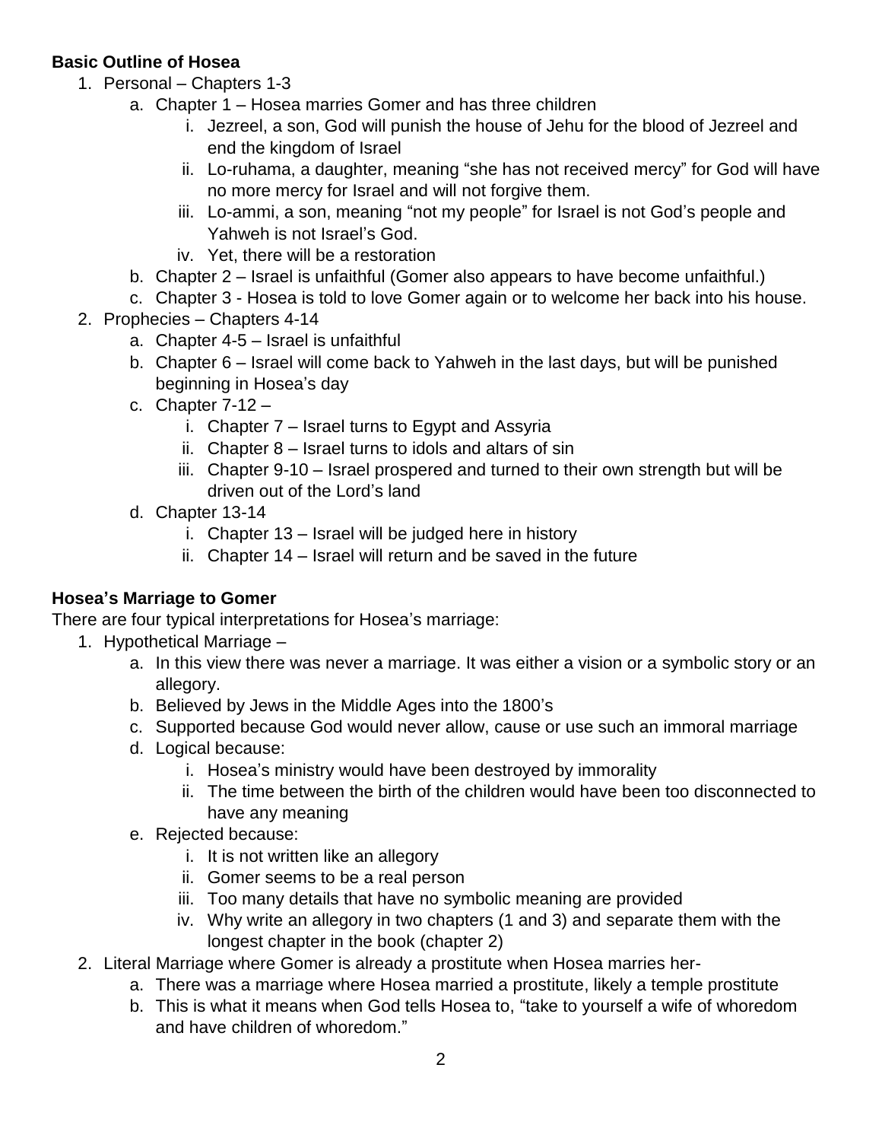## **Basic Outline of Hosea**

- 1. Personal Chapters 1-3
	- a. Chapter 1 Hosea marries Gomer and has three children
		- i. Jezreel, a son, God will punish the house of Jehu for the blood of Jezreel and end the kingdom of Israel
		- ii. Lo-ruhama, a daughter, meaning "she has not received mercy" for God will have no more mercy for Israel and will not forgive them.
		- iii. Lo-ammi, a son, meaning "not my people" for Israel is not God's people and Yahweh is not Israel's God.
		- iv. Yet, there will be a restoration
	- b. Chapter 2 Israel is unfaithful (Gomer also appears to have become unfaithful.)
	- c. Chapter 3 Hosea is told to love Gomer again or to welcome her back into his house.
- 2. Prophecies Chapters 4-14
	- a. Chapter 4-5 Israel is unfaithful
	- b. Chapter 6 Israel will come back to Yahweh in the last days, but will be punished beginning in Hosea's day
	- c. Chapter  $7-12$ 
		- i. Chapter 7 Israel turns to Egypt and Assyria
		- ii. Chapter 8 Israel turns to idols and altars of sin
		- iii. Chapter 9-10 Israel prospered and turned to their own strength but will be driven out of the Lord's land
	- d. Chapter 13-14
		- i. Chapter 13 Israel will be judged here in history
		- ii. Chapter 14 Israel will return and be saved in the future

## **Hosea's Marriage to Gomer**

There are four typical interpretations for Hosea's marriage:

- 1. Hypothetical Marriage
	- a. In this view there was never a marriage. It was either a vision or a symbolic story or an allegory.
	- b. Believed by Jews in the Middle Ages into the 1800's
	- c. Supported because God would never allow, cause or use such an immoral marriage
	- d. Logical because:
		- i. Hosea's ministry would have been destroyed by immorality
		- ii. The time between the birth of the children would have been too disconnected to have any meaning
	- e. Rejected because:
		- i. It is not written like an allegory
		- ii. Gomer seems to be a real person
		- iii. Too many details that have no symbolic meaning are provided
		- iv. Why write an allegory in two chapters (1 and 3) and separate them with the longest chapter in the book (chapter 2)
- 2. Literal Marriage where Gomer is already a prostitute when Hosea marries her
	- a. There was a marriage where Hosea married a prostitute, likely a temple prostitute
	- b. This is what it means when God tells Hosea to, "take to yourself a wife of whoredom and have children of whoredom."